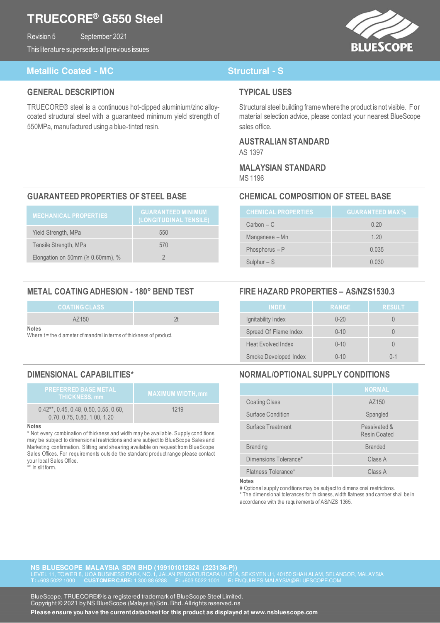## **TRUECORE® G550 Steel**

Revision 5 September 2021

This literature supersedes all previous issues



### **Metallic Coated - MC** Structural - S

### **GENERAL DESCRIPTION**

TRUECORE® steel is a continuous hot-dipped aluminium/zinc alloycoated structural steel with a guaranteed minimum yield strength of 550MPa, manufactured using a blue-tinted resin.

### **TYPICAL USES**

Structural steel building frame where the product is not visible. For material selection advice, please contact your nearest BlueScope sales office.

## **AUSTRALIAN STANDARD**

AS 1397

# **MALAYSIAN STANDARD**

MS 1196

### **GUARANTEED PROPERTIES OF STEEL BASE CHEMICAL COMPOSITION OF STEEL BASE**

| <b>MECHANICAL PROPERTIES</b>            | <b>GUARANTEED MINIMUM</b><br>(LONGITUDINAL TENSILE) |
|-----------------------------------------|-----------------------------------------------------|
| Yield Strength, MPa                     | 550                                                 |
| Tensile Strength, MPa                   | 570                                                 |
| Elongation on 50mm ( $\geq 0.60$ mm), % |                                                     |

### **METAL COATING ADHESION - 180° BEND TEST FIRE HAZARD PROPERTIES – AS/NZS1530.3**

| <b>COATING CLASS</b> |  |
|----------------------|--|
| AZ150                |  |
| <b>Notes</b>         |  |

Where t = the diameter of mandrel in terms of thickness of product.

| <b>PREFERRED BASE METAL</b><br><b>THICKNESS, mm</b>                      | <b>MAXIMUM WIDTH, mm</b> |
|--------------------------------------------------------------------------|--------------------------|
| $0.42**$ , 0.45, 0.48, 0.50, 0.55, 0.60,<br>0.70, 0.75, 0.80, 1.00, 1.20 | 1219                     |

### **Notes**

\* Not every combination of thickness and width may be available. Supply conditions may be subject to dimensional restrictions and are subject to BlueScope Sales and Marketing confirmation. Slitting and shearing available on request from BlueScope Sales Offices. For requirements outside the standard product range please contact your local Sales Office. In slit form.

| <b>CHEMICAL PROPERTIES</b> | <b>GUARANTEED MAX %</b> |
|----------------------------|-------------------------|
| $Carbon - C$               | 0.20                    |
| Manganese – Mn             | 1.20                    |
| Phosphorus $-P$            | 0.035                   |
| Sulphur $-$ S              | 0.030                   |

| <b>INDEX</b>              | <b>RANGE</b> | <b>RESULT</b> |
|---------------------------|--------------|---------------|
| Ignitability Index        | $0 - 20$     |               |
| Spread Of Flame Index     | $0 - 10$     |               |
| <b>Heat Evolved Index</b> | $0 - 10$     |               |
| Smoke Developed Index     | $0 - 10$     | $0 - 1$       |

### **DIMENSIONAL CAPABILITIES\* NORMAL/OPTIONAL SUPPLY CONDITIONS**

|                       | <b>NORMAL</b>                |
|-----------------------|------------------------------|
| <b>Coating Class</b>  | AZ150                        |
| Surface Condition     | Spangled                     |
| Surface Treatment     | Passivated &<br>Resin Coated |
| <b>Branding</b>       | <b>Branded</b>               |
| Dimensions Tolerance* | Class A                      |
| Flatness Tolerance*   | Class A                      |

**Notes** 

# Optional supply conditions may be subject to dimensional restrictions.

\* The dimensional tolerances for thickness, width flatness and camber shall be in accordance with the requirements of AS/NZS 1365.

**NS BLUESCOPE MALAYSIA SDN BHD (199101012824 (223136-P)) T:** +603 5022 1000 **CUSTOMER CARE:** 1 300 88 6288 **F:** +603 5022 1001 **E:** ENQUIRIES.MALAYSIA@BLUESCOPE.COM

**Contact Phone: <b>BlueScope**, TRUECORE® is a registered trademark of BlueScope Steel Limited. Copyright © 2021 by NS BlueScope (Malaysia) Sdn. Bhd. All rights reserved.ns

**Please ensure you have the current datasheet for this product as displayed at www.nsbluescope.com**